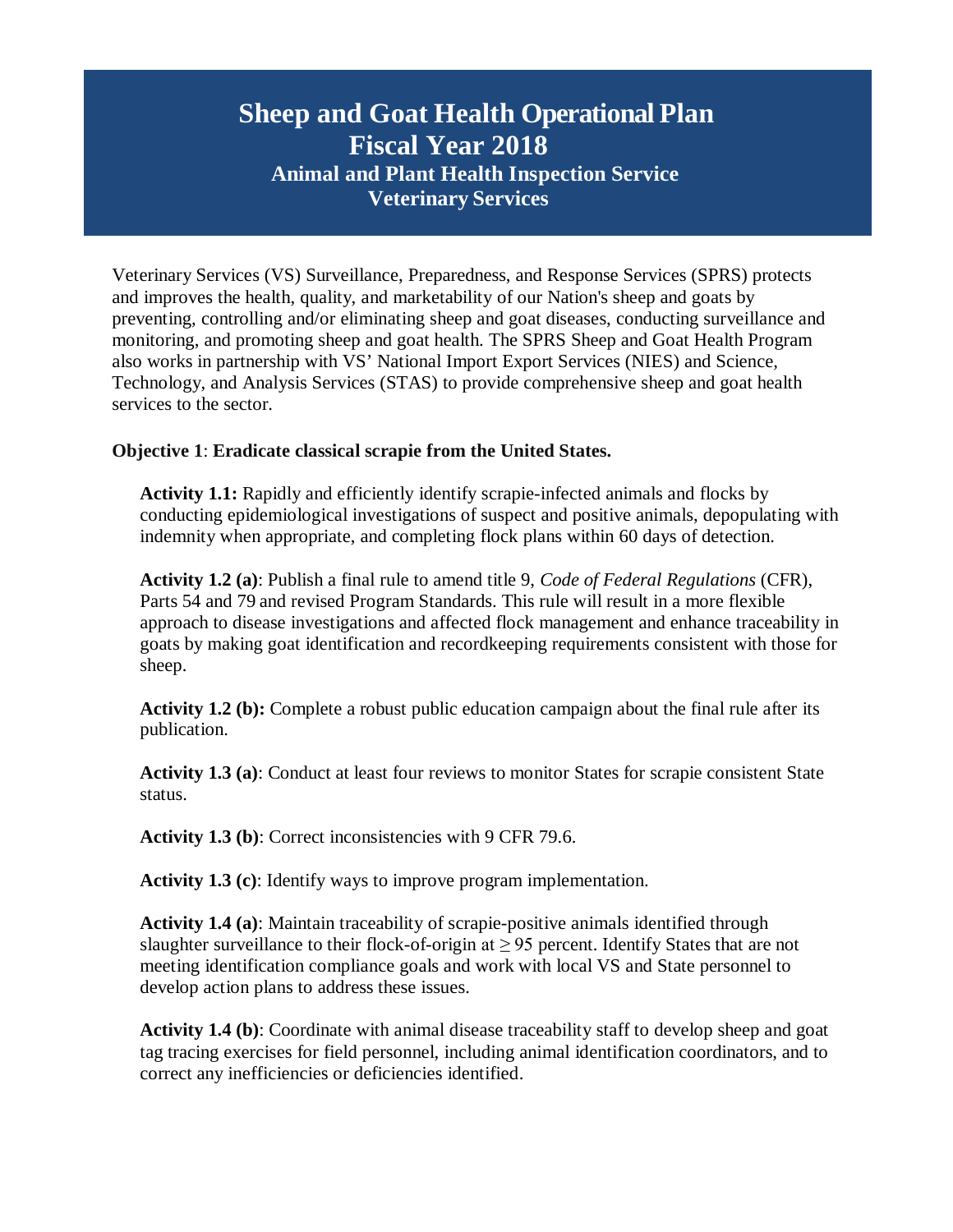Veterinary Services (VS) Surveillance, Preparedness, and Response Services (SPRS) protects and improves the health, quality, and marketability of our Nation's sheep and goats by preventing, controlling and/or eliminating sheep and goat diseases, conducting surveillance and monitoring, and promoting sheep and goat health. The SPRS Sheep and Goat Health Program also works in partnership with VS' National Import Export Services (NIES) and Science, Technology, and Analysis Services (STAS) to provide comprehensive sheep and goat health services to the sector.

## **Objective 1**: **Eradicate classical scrapie from the United States.**

**Activity 1.1:** Rapidly and efficiently identify scrapie-infected animals and flocks by conducting epidemiological investigations of suspect and positive animals, depopulating with indemnity when appropriate, and completing flock plans within 60 days of detection.

**Activity 1.2 (a)**: Publish a final rule to amend title 9, *Code of Federal Regulations* (CFR), Parts 54 and 79 and revised Program Standards. This rule will result in a more flexible approach to disease investigations and affected flock management and enhance traceability in goats by making goat identification and recordkeeping requirements consistent with those for sheep.

**Activity 1.2 (b):** Complete a robust public education campaign about the final rule after its publication.

**Activity 1.3 (a)**: Conduct at least four reviews to monitor States for scrapie consistent State status.

**Activity 1.3 (b)**: Correct inconsistencies with 9 CFR 79.6.

**Activity 1.3 (c)**: Identify ways to improve program implementation.

**Activity 1.4 (a)**: Maintain traceability of scrapie-positive animals identified through slaughter surveillance to their flock-of-origin at  $\geq$  95 percent. Identify States that are not meeting identification compliance goals and work with local VS and State personnel to develop action plans to address these issues.

**Activity 1.4 (b)**: Coordinate with animal disease traceability staff to develop sheep and goat tag tracing exercises for field personnel, including animal identification coordinators, and to correct any inefficiencies or deficiencies identified.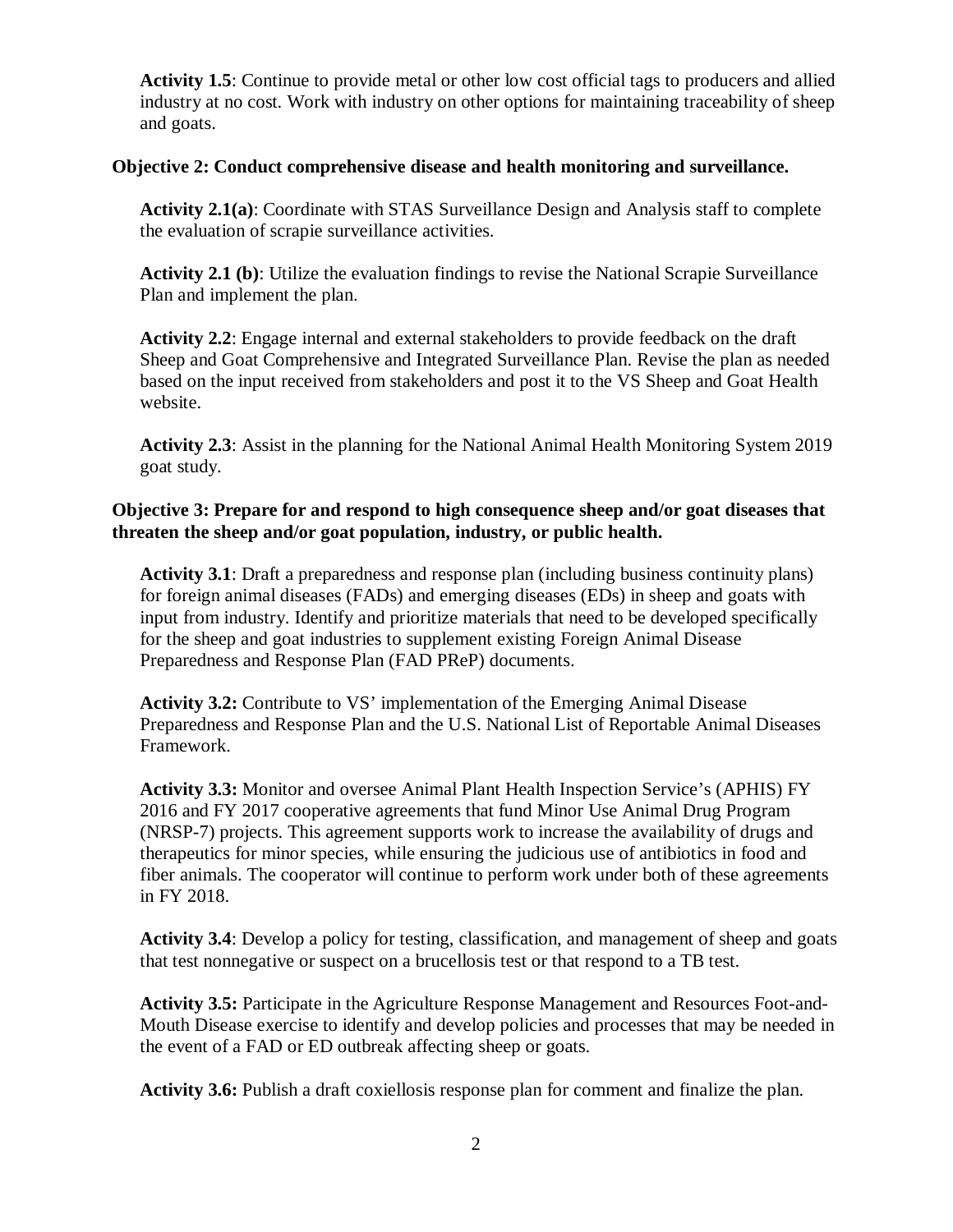**Activity 1.5**: Continue to provide metal or other low cost official tags to producers and allied industry at no cost. Work with industry on other options for maintaining traceability of sheep and goats.

## **Objective 2: Conduct comprehensive disease and health monitoring and surveillance.**

**Activity 2.1(a)**: Coordinate with STAS Surveillance Design and Analysis staff to complete the evaluation of scrapie surveillance activities.

**Activity 2.1 (b)**: Utilize the evaluation findings to revise the National Scrapie Surveillance Plan and implement the plan.

**Activity 2.2**: Engage internal and external stakeholders to provide feedback on the draft Sheep and Goat Comprehensive and Integrated Surveillance Plan. Revise the plan as needed based on the input received from stakeholders and post it to the VS Sheep and Goat Health website.

**Activity 2.3**: Assist in the planning for the National Animal Health Monitoring System 2019 goat study.

## **Objective 3: Prepare for and respond to high consequence sheep and/or goat diseases that threaten the sheep and/or goat population, industry, or public health.**

**Activity 3.1**: Draft a preparedness and response plan (including business continuity plans) for foreign animal diseases (FADs) and emerging diseases (EDs) in sheep and goats with input from industry. Identify and prioritize materials that need to be developed specifically for the sheep and goat industries to supplement existing Foreign Animal Disease Preparedness and Response Plan (FAD PReP) documents.

**Activity 3.2:** Contribute to VS' implementation of the Emerging Animal Disease Preparedness and Response Plan and the U.S. National List of Reportable Animal Diseases Framework.

**Activity 3.3:** Monitor and oversee Animal Plant Health Inspection Service's (APHIS) FY 2016 and FY 2017 cooperative agreements that fund Minor Use Animal Drug Program (NRSP-7) projects. This agreement supports work to increase the availability of drugs and therapeutics for minor species, while ensuring the judicious use of antibiotics in food and fiber animals. The cooperator will continue to perform work under both of these agreements in FY 2018.

**Activity 3.4**: Develop a policy for testing, classification, and management of sheep and goats that test nonnegative or suspect on a brucellosis test or that respond to a TB test.

**Activity 3.5:** Participate in the Agriculture Response Management and Resources Foot-and-Mouth Disease exercise to identify and develop policies and processes that may be needed in the event of a FAD or ED outbreak affecting sheep or goats.

**Activity 3.6:** Publish a draft coxiellosis response plan for comment and finalize the plan.